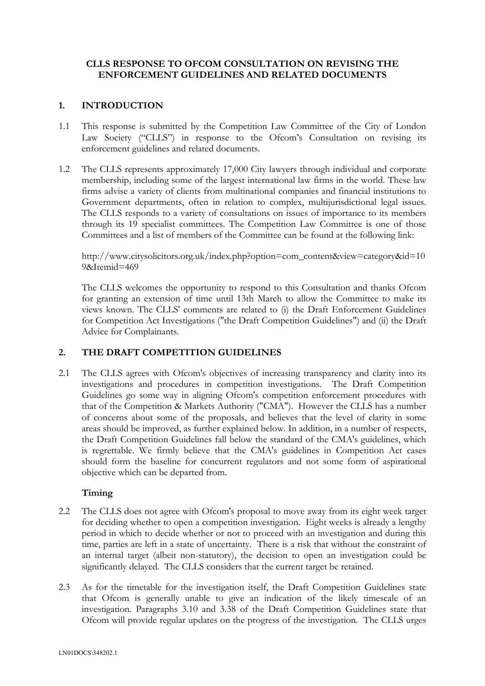## **CLLS RESPONSE TO OFCOM CONSULTATION ON REVISING THE ENFORCEMENT GUIDELINES AND RELATED DOCUMENTS**

## **1. INTRODUCTION**

- 1.1 This response is submitted by the Competition Law Committee of the City of London Law Society ("CLLS") in response to the Ofcom's Consultation on revising its enforcement guidelines and related documents.
- 1.2 The CLLS represents approximately 17,000 City lawyers through individual and corporate membership, including some of the largest international law firms in the world. These law firms advise a variety of clients from multinational companies and financial institutions to Government departments, often in relation to complex, multijurisdictional legal issues. The CLLS responds to a variety of consultations on issues of importance to its members through its 19 specialist committees. The Competition Law Committee is one of those Committees and a list of members of the Committee can be found at the following link:

http://www.citysolicitors.org.uk/index.php?option=com\_content&view=category&id=10 9&Itemid=469

The CLLS welcomes the opportunity to respond to this Consultation and thanks Ofcom for granting an extension of time until 13th March to allow the Committee to make its views known. The CLLS' comments are related to (i) the Draft Enforcement Guidelines for Competition Act Investigations ("the Draft Competition Guidelines") and (ii) the Draft Advice for Complainants.

# **2. THE DRAFT COMPETITION GUIDELINES**

2.1 The CLLS agrees with Ofcom's objectives of increasing transparency and clarity into its investigations and procedures in competition investigations. The Draft Competition Guidelines go some way in aligning Ofcom's competition enforcement procedures with that of the Competition & Markets Authority ("CMA"). However the CLLS has a number of concerns about some of the proposals, and believes that the level of clarity in some areas should be improved, as further explained below. In addition, in a number of respects, the Draft Competition Guidelines fall below the standard of the CMA's guidelines, which is regrettable. We firmly believe that the CMA's guidelines in Competition Act cases should form the baseline for concurrent regulators and not some form of aspirational objective which can be departed from.

## **Timing**

- 2.2 The CLLS does not agree with Ofcom's proposal to move away from its eight week target for deciding whether to open a competition investigation. Eight weeks is already a lengthy period in which to decide whether or not to proceed with an investigation and during this time, parties are left in a state of uncertainty. There is a risk that without the constraint of an internal target (albeit non-statutory), the decision to open an investigation could be significantly delayed. The CLLS considers that the current target be retained.
- 2.3 As for the timetable for the investigation itself, the Draft Competition Guidelines state that Ofcom is generally unable to give an indication of the likely timescale of an investigation. Paragraphs 3.10 and 3.38 of the Draft Competition Guidelines state that Ofcom will provide regular updates on the progress of the investigation. The CLLS urges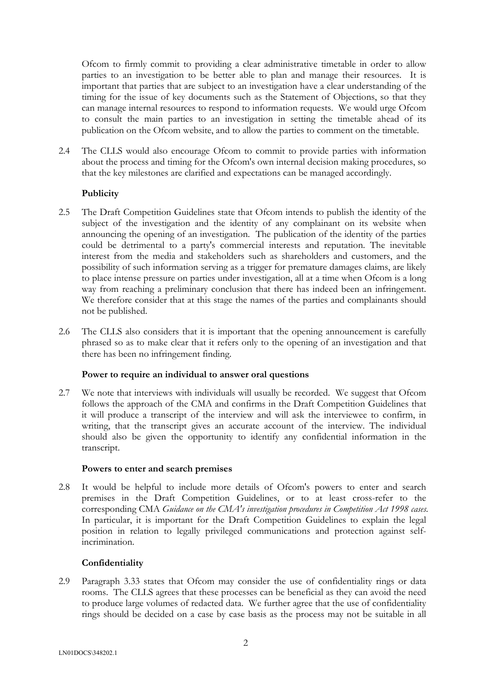Ofcom to firmly commit to providing a clear administrative timetable in order to allow parties to an investigation to be better able to plan and manage their resources. It is important that parties that are subject to an investigation have a clear understanding of the timing for the issue of key documents such as the Statement of Objections, so that they can manage internal resources to respond to information requests. We would urge Ofcom to consult the main parties to an investigation in setting the timetable ahead of its publication on the Ofcom website, and to allow the parties to comment on the timetable.

2.4 The CLLS would also encourage Ofcom to commit to provide parties with information about the process and timing for the Ofcom's own internal decision making procedures, so that the key milestones are clarified and expectations can be managed accordingly.

## **Publicity**

- 2.5 The Draft Competition Guidelines state that Ofcom intends to publish the identity of the subject of the investigation and the identity of any complainant on its website when announcing the opening of an investigation. The publication of the identity of the parties could be detrimental to a party's commercial interests and reputation. The inevitable interest from the media and stakeholders such as shareholders and customers, and the possibility of such information serving as a trigger for premature damages claims, are likely to place intense pressure on parties under investigation, all at a time when Ofcom is a long way from reaching a preliminary conclusion that there has indeed been an infringement. We therefore consider that at this stage the names of the parties and complainants should not be published.
- 2.6 The CLLS also considers that it is important that the opening announcement is carefully phrased so as to make clear that it refers only to the opening of an investigation and that there has been no infringement finding.

## **Power to require an individual to answer oral questions**

2.7 We note that interviews with individuals will usually be recorded. We suggest that Ofcom follows the approach of the CMA and confirms in the Draft Competition Guidelines that it will produce a transcript of the interview and will ask the interviewee to confirm, in writing, that the transcript gives an accurate account of the interview. The individual should also be given the opportunity to identify any confidential information in the transcript.

## **Powers to enter and search premises**

2.8 It would be helpful to include more details of Ofcom's powers to enter and search premises in the Draft Competition Guidelines, or to at least cross-refer to the corresponding CMA *Guidance on the CMA's investigation procedures in Competition Act 1998 cases.* In particular, it is important for the Draft Competition Guidelines to explain the legal position in relation to legally privileged communications and protection against selfincrimination.

# **Confidentiality**

2.9 Paragraph 3.33 states that Ofcom may consider the use of confidentiality rings or data rooms. The CLLS agrees that these processes can be beneficial as they can avoid the need to produce large volumes of redacted data. We further agree that the use of confidentiality rings should be decided on a case by case basis as the process may not be suitable in all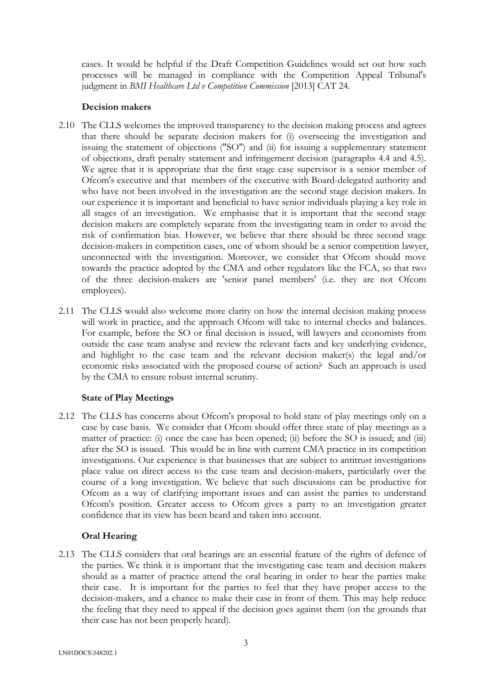cases. It would be helpful if the Draft Competition Guidelines would set out how such processes will be managed in compliance with the Competition Appeal Tribunal's judgment in *BMI Healthcare Ltd v Competition Commission* [2013] CAT 24.

### **Decision makers**

- 2.10 The CLLS welcomes the improved transparency to the decision making process and agrees that there should be separate decision makers for (i) overseeing the investigation and issuing the statement of objections ("SO") and (ii) for issuing a supplementary statement of objections, draft penalty statement and infringement decision (paragraphs 4.4 and 4.5). We agree that it is appropriate that the first stage case supervisor is a senior member of Ofcom's executive and that members of the executive with Board-delegated authority and who have not been involved in the investigation are the second stage decision makers. In our experience it is important and beneficial to have senior individuals playing a key role in all stages of an investigation. We emphasise that it is important that the second stage decision makers are completely separate from the investigating team in order to avoid the risk of confirmation bias. However, we believe that there should be three second stage decision-makers in competition cases, one of whom should be a senior competition lawyer, unconnected with the investigation. Moreover, we consider that Ofcom should move towards the practice adopted by the CMA and other regulators like the FCA, so that two of the three decision-makers are 'senior panel members' (i.e. they are not Ofcom employees).
- 2.11 The CLLS would also welcome more clarity on how the internal decision making process will work in practice, and the approach Ofcom will take to internal checks and balances. For example, before the SO or final decision is issued, will lawyers and economists from outside the case team analyse and review the relevant facts and key underlying evidence, and highlight to the case team and the relevant decision maker(s) the legal and/or economic risks associated with the proposed course of action? Such an approach is used by the CMA to ensure robust internal scrutiny.

## **State of Play Meetings**

2.12 The CLLS has concerns about Ofcom's proposal to hold state of play meetings only on a case by case basis. We consider that Ofcom should offer three state of play meetings as a matter of practice: (i) once the case has been opened; (ii) before the SO is issued; and (iii) after the SO is issued. This would be in line with current CMA practice in its competition investigations. Our experience is that businesses that are subject to antitrust investigations place value on direct access to the case team and decision-makers, particularly over the course of a long investigation. We believe that such discussions can be productive for Ofcom as a way of clarifying important issues and can assist the parties to understand Ofcom's position. Greater access to Ofcom gives a party to an investigation greater confidence that its view has been heard and taken into account.

## **Oral Hearing**

2.13 The CLLS considers that oral hearings are an essential feature of the rights of defence of the parties. We think it is important that the investigating case team and decision makers should as a matter of practice attend the oral hearing in order to hear the parties make their case. It is important for the parties to feel that they have proper access to the decision-makers, and a chance to make their case in front of them. This may help reduce the feeling that they need to appeal if the decision goes against them (on the grounds that their case has not been properly heard).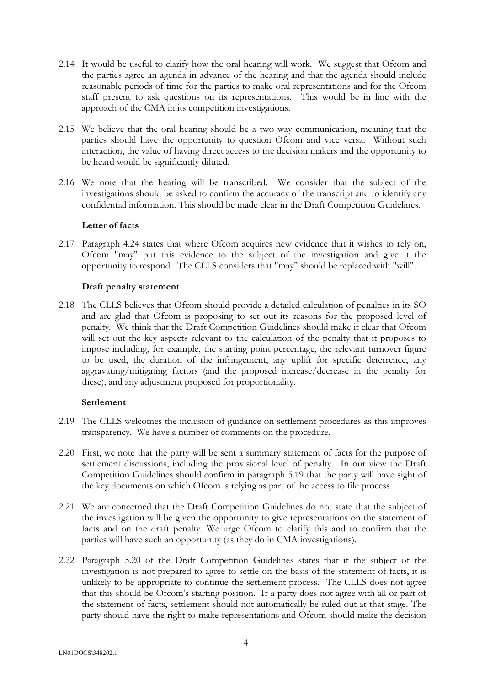- 2.14 It would be useful to clarify how the oral hearing will work. We suggest that Ofcom and the parties agree an agenda in advance of the hearing and that the agenda should include reasonable periods of time for the parties to make oral representations and for the Ofcom staff present to ask questions on its representations. This would be in line with the approach of the CMA in its competition investigations.
- 2.15 We believe that the oral hearing should be a two way communication, meaning that the parties should have the opportunity to question Ofcom and vice versa. Without such interaction, the value of having direct access to the decision makers and the opportunity to be heard would be significantly diluted.
- 2.16 We note that the hearing will be transcribed. We consider that the subject of the investigations should be asked to confirm the accuracy of the transcript and to identify any confidential information. This should be made clear in the Draft Competition Guidelines.

## **Letter of facts**

2.17 Paragraph 4.24 states that where Ofcom acquires new evidence that it wishes to rely on, Ofcom "may" put this evidence to the subject of the investigation and give it the opportunity to respond. The CLLS considers that "may" should be replaced with "will".

#### **Draft penalty statement**

2.18 The CLLS believes that Ofcom should provide a detailed calculation of penalties in its SO and are glad that Ofcom is proposing to set out its reasons for the proposed level of penalty. We think that the Draft Competition Guidelines should make it clear that Ofcom will set out the key aspects relevant to the calculation of the penalty that it proposes to impose including, for example, the starting point percentage, the relevant turnover figure to be used, the duration of the infringement, any uplift for specific deterrence, any aggravating/mitigating factors (and the proposed increase/decrease in the penalty for these), and any adjustment proposed for proportionality.

#### **Settlement**

- 2.19 The CLLS welcomes the inclusion of guidance on settlement procedures as this improves transparency. We have a number of comments on the procedure.
- 2.20 First, we note that the party will be sent a summary statement of facts for the purpose of settlement discussions, including the provisional level of penalty. In our view the Draft Competition Guidelines should confirm in paragraph 5.19 that the party will have sight of the key documents on which Ofcom is relying as part of the access to file process.
- 2.21 We are concerned that the Draft Competition Guidelines do not state that the subject of the investigation will be given the opportunity to give representations on the statement of facts and on the draft penalty. We urge Ofcom to clarify this and to confirm that the parties will have such an opportunity (as they do in CMA investigations).
- 2.22 Paragraph 5.20 of the Draft Competition Guidelines states that if the subject of the investigation is not prepared to agree to settle on the basis of the statement of facts, it is unlikely to be appropriate to continue the settlement process. The CLLS does not agree that this should be Ofcom's starting position. If a party does not agree with all or part of the statement of facts, settlement should not automatically be ruled out at that stage. The party should have the right to make representations and Ofcom should make the decision